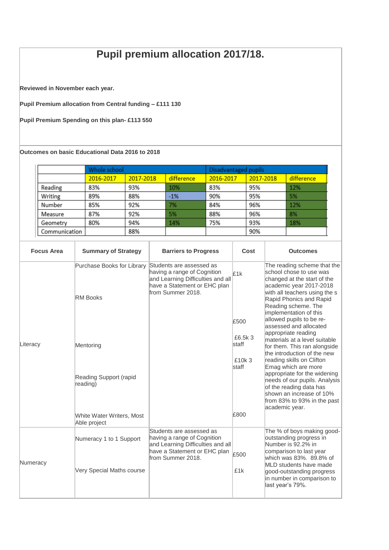## **Pupil premium allocation 2017/18.**

**Reviewed in November each year.**

**Pupil Premium allocation from Central funding – £111 130**

**Pupil Premium Spending on this plan- £113 550**

**Outcomes on basic Educational Data 2016 to 2018**

|               | Whole school |           | Disadvantaged pupils |           |           |            |
|---------------|--------------|-----------|----------------------|-----------|-----------|------------|
|               | 2016-2017    | 2017-2018 | difference           | 2016-2017 | 2017-2018 | difference |
| Reading       | 83%          | 93%       | 10%                  | 83%       | 95%       | 12%        |
| Writing       | 89%          | 88%       | $-1%$                | 90%       | 95%       | 5%         |
| Number        | 85%          | 92%       | 7%                   | 84%       | 96%       | 12%        |
| Measure       | 87%          | 92%       | 5%                   | 88%       | 96%       | 8%         |
| Geometry      | 80%          | 94%       | 14%                  | 75%       | 93%       | 18%        |
| Communication |              | 88%       |                      |           | 90%       |            |

| <b>Focus Area</b> | <b>Summary of Strategy</b>                           | <b>Barriers to Progress</b>                                                                                                                       | Cost                       | <b>Outcomes</b>                                                                                                                                                                                                                                                                     |
|-------------------|------------------------------------------------------|---------------------------------------------------------------------------------------------------------------------------------------------------|----------------------------|-------------------------------------------------------------------------------------------------------------------------------------------------------------------------------------------------------------------------------------------------------------------------------------|
| Literacy          | Purchase Books for Library<br><b>RM Books</b>        | Students are assessed as<br>having a range of Cognition<br>and Learning Difficulties and all<br>have a Statement or EHC plan<br>from Summer 2018. | £1k<br>£500                | The reading scheme that the<br>school chose to use was<br>changed at the start of the<br>academic year 2017-2018<br>with all teachers using the s<br>Rapid Phonics and Rapid<br>Reading scheme. The<br>implementation of this<br>allowed pupils to be re-<br>assessed and allocated |
|                   | Mentoring                                            |                                                                                                                                                   | £6.5k 3<br>staff<br>£10k 3 | appropriate reading<br>materials at a level suitable<br>for them. This ran alongside<br>the introduction of the new<br>reading skills on Clifton                                                                                                                                    |
|                   | Reading Support (rapid<br>reading)                   |                                                                                                                                                   | staff                      | Emag which are more<br>appropriate for the widening<br>needs of our pupils. Analysis<br>of the reading data has<br>shown an increase of 10%<br>from 83% to 93% in the past<br>academic year.                                                                                        |
|                   | White Water Writers, Most<br>Able project            |                                                                                                                                                   | £800                       |                                                                                                                                                                                                                                                                                     |
| Numeracy          | Numeracy 1 to 1 Support<br>Very Special Maths course | Students are assessed as<br>having a range of Cognition<br>and Learning Difficulties and all<br>have a Statement or EHC plan<br>from Summer 2018. | £500<br>£1k                | The % of boys making good-<br>outstanding progress in<br>Number is 92.2% in<br>comparison to last year<br>which was 83%, 89.8% of<br>MLD students have made<br>good-outstanding progress<br>in number in comparison to<br>last year's 79%.                                          |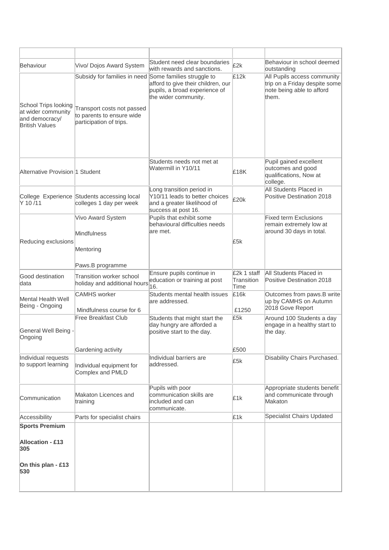| Behaviour                                                     | Vivo/ Dojos Award System                                                           | Student need clear boundaries<br>with rewards and sanctions.                                                             | £2k                               | Behaviour in school deemed<br>outstanding                                                          |
|---------------------------------------------------------------|------------------------------------------------------------------------------------|--------------------------------------------------------------------------------------------------------------------------|-----------------------------------|----------------------------------------------------------------------------------------------------|
| School Trips looking                                          | Subsidy for families in need                                                       | Some families struggle to<br>afford to give their children, our<br>pupils, a broad experience of<br>the wider community. | £12k                              | All Pupils access community<br>trip on a Friday despite some<br>note being able to afford<br>them. |
| at wider community<br>and democracy/<br><b>British Values</b> | Transport costs not passed<br>to parents to ensure wide<br>participation of trips. |                                                                                                                          |                                   |                                                                                                    |
| Alternative Provision 1 Student                               |                                                                                    | Students needs not met at<br>Watermill in Y10/11                                                                         | £18K                              | Pupil gained excellent<br>outcomes and good<br>qualifications, Now at<br>college.                  |
| Y 10/11                                                       | College Experience Students accessing local<br>colleges 1 day per week             | Long transition period in<br>Y10/11 leads to better choices<br>and a greater likelihood of<br>success at post 16.        | £20k                              | All Students Placed in<br>Positive Destination 2018                                                |
|                                                               | Vivo Award System<br>Mindfulness                                                   | Pupils that exhibit some<br>behavioural difficulties needs<br>are met.                                                   |                                   | <b>Fixed term Exclusions</b><br>remain extremely low at<br>around 30 days in total.                |
| Reducing exclusions                                           | Mentoring<br>Paws.B programme                                                      |                                                                                                                          | £5k                               |                                                                                                    |
| Good destination<br>data                                      | Transition worker school<br>holiday and additional hours                           | Ensure pupils continue in<br>education or training at post<br>16.                                                        | £2k 1 staff<br>Transition<br>Time | All Students Placed in<br>Positive Destination 2018                                                |
| Mental Health Well<br>Being - Ongoing                         | <b>CAMHS</b> worker<br>Mindfulness course for 6                                    | Students mental health issues<br>are addressed.                                                                          | £16k<br>£1250                     | Outcomes from paws.B write<br>up by CAMHS on Autumn<br>2018 Gove Report                            |
| General Well Being -<br>Ongoing                               | Free Breakfast Club                                                                | Students that might start the<br>day hungry are afforded a<br>positive start to the day.                                 | £5k                               | Around 100 Students a day<br>engage in a healthy start to<br>the day.                              |
|                                                               | Gardening activity                                                                 |                                                                                                                          | £500                              |                                                                                                    |
| Individual requests<br>to support learning                    | Individual equipment for<br>Complex and PMLD                                       | Individual barriers are<br>addressed.                                                                                    | £5k                               | Disability Chairs Purchased.                                                                       |
| Communication                                                 | Makaton Licences and<br>training                                                   | Pupils with poor<br>communication skills are<br>included and can<br>communicate.                                         | £1k                               | Appropriate students benefit<br>and communicate through<br>Makaton                                 |
| Accessibility                                                 | Parts for specialist chairs                                                        |                                                                                                                          | £1k                               | Specialist Chairs Updated                                                                          |
| <b>Sports Premium</b>                                         |                                                                                    |                                                                                                                          |                                   |                                                                                                    |
| <b>Allocation - £13</b><br>305                                |                                                                                    |                                                                                                                          |                                   |                                                                                                    |
| On this plan - £13<br>530                                     |                                                                                    |                                                                                                                          |                                   |                                                                                                    |